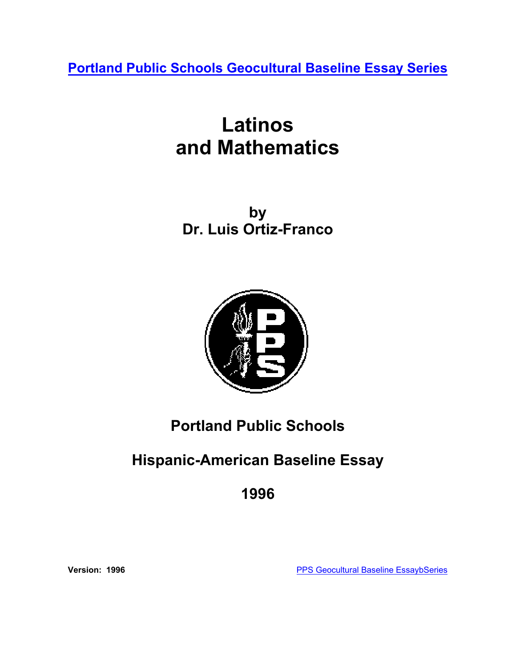**[Portland Public Schools Geocultural Baseline Essay Series](http://www.pps.k12.or.us/district/depts/mc-me/essays.shtml)**

# **Latinos and Mathematics**

**by Dr. Luis Ortiz-Franco**



# **Portland Public Schools**

# **Hispanic-American Baseline Essay**

**1996** 

**Version: 1996 Version: 1996 [PPS Geocultural Baseline EssaybSeries](http://www.pps.k12.or.us/district/depts/mc-me/essays.shtml)**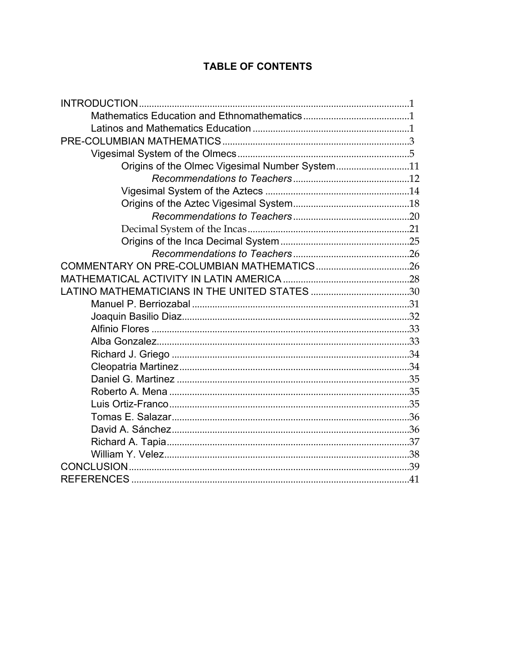# **TABLE OF CONTENTS**

| Origins of the Olmec Vigesimal Number System11 |  |
|------------------------------------------------|--|
|                                                |  |
|                                                |  |
|                                                |  |
|                                                |  |
|                                                |  |
|                                                |  |
|                                                |  |
|                                                |  |
|                                                |  |
|                                                |  |
|                                                |  |
|                                                |  |
|                                                |  |
|                                                |  |
|                                                |  |
|                                                |  |
|                                                |  |
|                                                |  |
|                                                |  |
|                                                |  |
|                                                |  |
|                                                |  |
|                                                |  |
|                                                |  |
|                                                |  |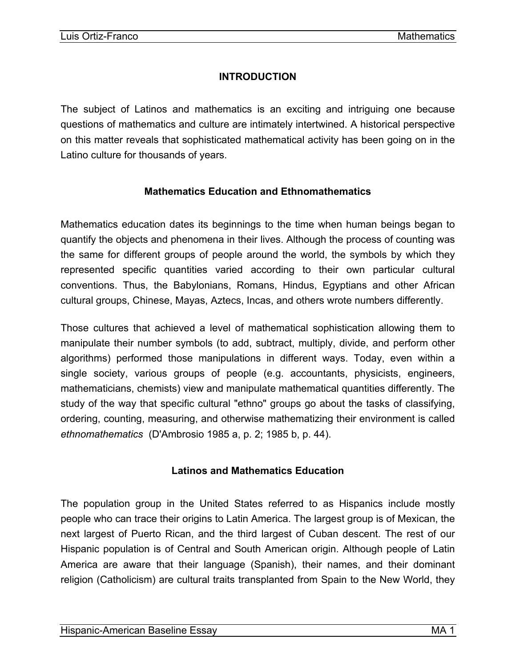# **INTRODUCTION**

<span id="page-2-0"></span>The subject of Latinos and mathematics is an exciting and intriguing one because questions of mathematics and culture are intimately intertwined. A historical perspective on this matter reveals that sophisticated mathematical activity has been going on in the Latino culture for thousands of years.

# **Mathematics Education and Ethnomathematics**

Mathematics education dates its beginnings to the time when human beings began to quantify the objects and phenomena in their lives. Although the process of counting was the same for different groups of people around the world, the symbols by which they represented specific quantities varied according to their own particular cultural conventions. Thus, the Babylonians, Romans, Hindus, Egyptians and other African cultural groups, Chinese, Mayas, Aztecs, Incas, and others wrote numbers differently.

Those cultures that achieved a level of mathematical sophistication allowing them to manipulate their number symbols (to add, subtract, multiply, divide, and perform other algorithms) performed those manipulations in different ways. Today, even within a single society, various groups of people (e.g. accountants, physicists, engineers, mathematicians, chemists) view and manipulate mathematical quantities differently. The study of the way that specific cultural "ethno" groups go about the tasks of classifying, ordering, counting, measuring, and otherwise mathematizing their environment is called *ethnomathematics* (D'Ambrosio 1985 a, p. 2; 1985 b, p. 44).

# **Latinos and Mathematics Education**

The population group in the United States referred to as Hispanics include mostly people who can trace their origins to Latin America. The largest group is of Mexican, the next largest of Puerto Rican, and the third largest of Cuban descent. The rest of our Hispanic population is of Central and South American origin. Although people of Latin America are aware that their language (Spanish), their names, and their dominant religion (Catholicism) are cultural traits transplanted from Spain to the New World, they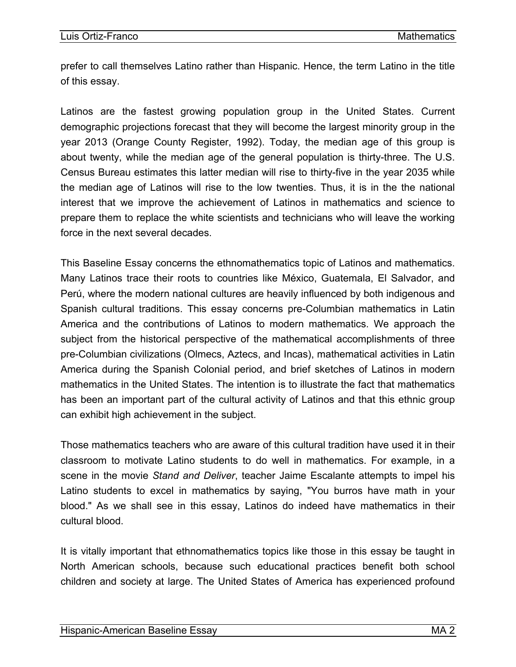prefer to call themselves Latino rather than Hispanic. Hence, the term Latino in the title of this essay.

Latinos are the fastest growing population group in the United States. Current demographic projections forecast that they will become the largest minority group in the year 2013 (Orange County Register, 1992). Today, the median age of this group is about twenty, while the median age of the general population is thirty-three. The U.S. Census Bureau estimates this latter median will rise to thirty-five in the year 2035 while the median age of Latinos will rise to the low twenties. Thus, it is in the the national interest that we improve the achievement of Latinos in mathematics and science to prepare them to replace the white scientists and technicians who will leave the working force in the next several decades.

This Baseline Essay concerns the ethnomathematics topic of Latinos and mathematics. Many Latinos trace their roots to countries like México, Guatemala, El Salvador, and Perú, where the modern national cultures are heavily influenced by both indigenous and Spanish cultural traditions. This essay concerns pre-Columbian mathematics in Latin America and the contributions of Latinos to modern mathematics. We approach the subject from the historical perspective of the mathematical accomplishments of three pre-Columbian civilizations (Olmecs, Aztecs, and Incas), mathematical activities in Latin America during the Spanish Colonial period, and brief sketches of Latinos in modern mathematics in the United States. The intention is to illustrate the fact that mathematics has been an important part of the cultural activity of Latinos and that this ethnic group can exhibit high achievement in the subject.

Those mathematics teachers who are aware of this cultural tradition have used it in their classroom to motivate Latino students to do well in mathematics. For example, in a scene in the movie *Stand and Deliver*, teacher Jaime Escalante attempts to impel his Latino students to excel in mathematics by saying, "You burros have math in your blood." As we shall see in this essay, Latinos do indeed have mathematics in their cultural blood.

It is vitally important that ethnomathematics topics like those in this essay be taught in North American schools, because such educational practices benefit both school children and society at large. The United States of America has experienced profound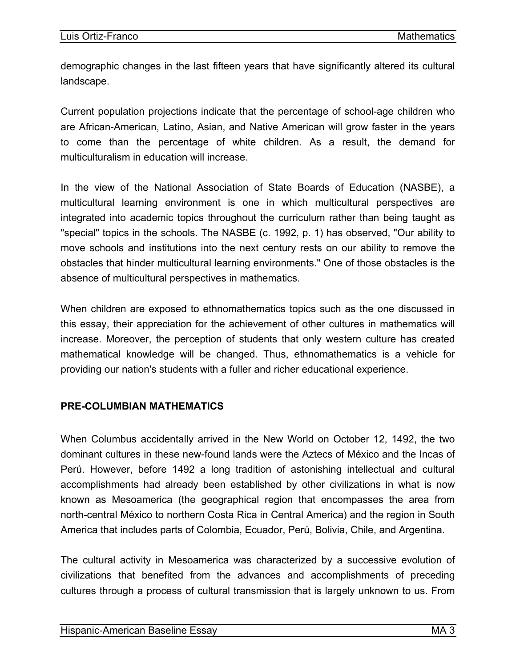<span id="page-4-0"></span>demographic changes in the last fifteen years that have significantly altered its cultural landscape.

Current population projections indicate that the percentage of school-age children who are African-American, Latino, Asian, and Native American will grow faster in the years to come than the percentage of white children. As a result, the demand for multiculturalism in education will increase.

In the view of the National Association of State Boards of Education (NASBE), a multicultural learning environment is one in which multicultural perspectives are integrated into academic topics throughout the curriculum rather than being taught as "special" topics in the schools. The NASBE (c. 1992, p. 1) has observed, "Our ability to move schools and institutions into the next century rests on our ability to remove the obstacles that hinder multicultural learning environments." One of those obstacles is the absence of multicultural perspectives in mathematics.

When children are exposed to ethnomathematics topics such as the one discussed in this essay, their appreciation for the achievement of other cultures in mathematics will increase. Moreover, the perception of students that only western culture has created mathematical knowledge will be changed. Thus, ethnomathematics is a vehicle for providing our nation's students with a fuller and richer educational experience.

#### **PRE-COLUMBIAN MATHEMATICS**

When Columbus accidentally arrived in the New World on October 12, 1492, the two dominant cultures in these new-found lands were the Aztecs of México and the Incas of Perú. However, before 1492 a long tradition of astonishing intellectual and cultural accomplishments had already been established by other civilizations in what is now known as Mesoamerica (the geographical region that encompasses the area from north-central México to northern Costa Rica in Central America) and the region in South America that includes parts of Colombia, Ecuador, Perú, Bolivia, Chile, and Argentina.

The cultural activity in Mesoamerica was characterized by a successive evolution of civilizations that benefited from the advances and accomplishments of preceding cultures through a process of cultural transmission that is largely unknown to us. From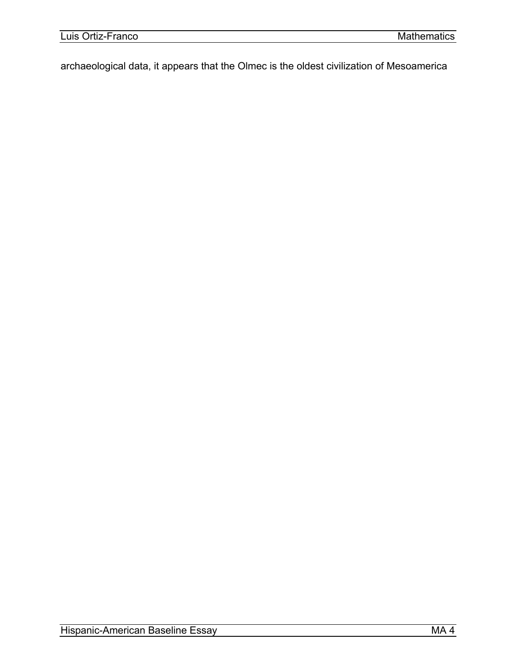archaeological data, it appears that the Olmec is the oldest civilization of Mesoamerica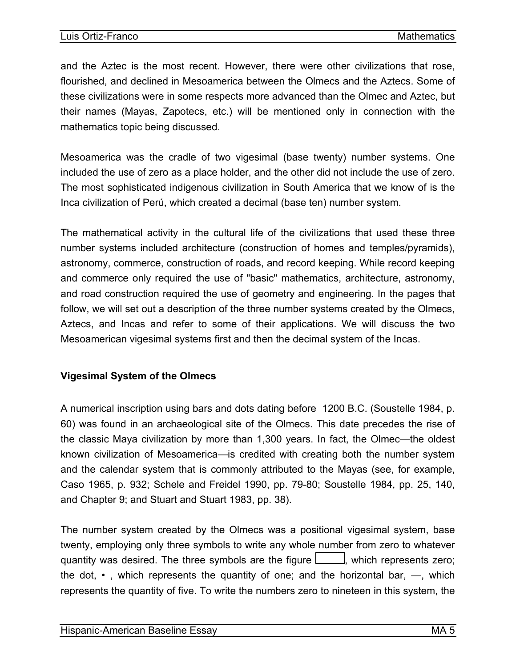<span id="page-6-0"></span>and the Aztec is the most recent. However, there were other civilizations that rose, flourished, and declined in Mesoamerica between the Olmecs and the Aztecs. Some of these civilizations were in some respects more advanced than the Olmec and Aztec, but their names (Mayas, Zapotecs, etc.) will be mentioned only in connection with the mathematics topic being discussed.

Mesoamerica was the cradle of two vigesimal (base twenty) number systems. One included the use of zero as a place holder, and the other did not include the use of zero. The most sophisticated indigenous civilization in South America that we know of is the Inca civilization of Perú, which created a decimal (base ten) number system.

The mathematical activity in the cultural life of the civilizations that used these three number systems included architecture (construction of homes and temples/pyramids), astronomy, commerce, construction of roads, and record keeping. While record keeping and commerce only required the use of "basic" mathematics, architecture, astronomy, and road construction required the use of geometry and engineering. In the pages that follow, we will set out a description of the three number systems created by the Olmecs, Aztecs, and Incas and refer to some of their applications. We will discuss the two Mesoamerican vigesimal systems first and then the decimal system of the Incas.

# **Vigesimal System of the Olmecs**

A numerical inscription using bars and dots dating before 1200 B.C. (Soustelle 1984, p. 60) was found in an archaeological site of the Olmecs. This date precedes the rise of the classic Maya civilization by more than 1,300 years. In fact, the Olmec—the oldest known civilization of Mesoamerica—is credited with creating both the number system and the calendar system that is commonly attributed to the Mayas (see, for example, Caso 1965, p. 932; Schele and Freidel 1990, pp. 79-80; Soustelle 1984, pp. 25, 140, and Chapter 9; and Stuart and Stuart 1983, pp. 38).

The number system created by the Olmecs was a positional vigesimal system, base twenty, employing only three symbols to write any whole number from zero to whatever quantity was desired. The three symbols are the figure  $\Box$ , which represents zero; the dot,  $\cdot$ , which represents the quantity of one; and the horizontal bar,  $\frac{1}{2}$ , which represents the quantity of five. To write the numbers zero to nineteen in this system, the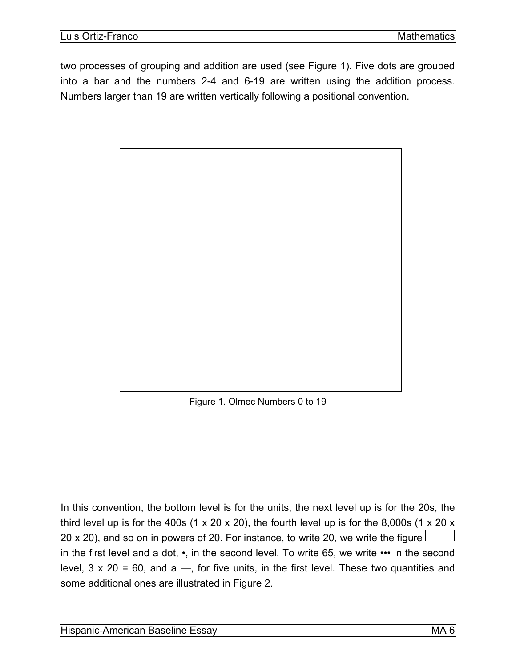two processes of grouping and addition are used (see Figure 1). Five dots are grouped into a bar and the numbers 2-4 and 6-19 are written using the addition process. Numbers larger than 19 are written vertically following a positional convention.



Figure 1. Olmec Numbers 0 to 19

In this convention, the bottom level is for the units, the next level up is for the 20s, the third level up is for the 400s  $(1 \times 20 \times 20)$ , the fourth level up is for the 8,000s  $(1 \times 20 \times 10^{-14})$ 20 x 20), and so on in powers of 20. For instance, to write 20, we write the figure  $\mathsf{\mathsf{\mathsf{\mathsf{L}}}}$ in the first level and a dot, •, in the second level. To write 65, we write ••• in the second level,  $3 \times 20 = 60$ , and  $a \rightarrow$ , for five units, in the first level. These two quantities and some additional ones are illustrated in Figure 2.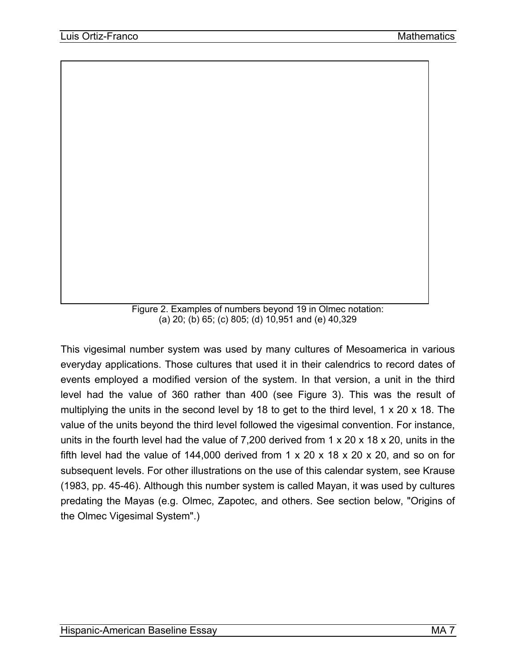Figure 2. Examples of numbers beyond 19 in Olmec notation: (a) 20; (b) 65; (c) 805; (d) 10,951 and (e) 40,329

This vigesimal number system was used by many cultures of Mesoamerica in various everyday applications. Those cultures that used it in their calendrics to record dates of events employed a modified version of the system. In that version, a unit in the third level had the value of 360 rather than 400 (see Figure 3). This was the result of multiplying the units in the second level by 18 to get to the third level, 1 x 20 x 18. The value of the units beyond the third level followed the vigesimal convention. For instance, units in the fourth level had the value of 7,200 derived from 1 x 20 x 18 x 20, units in the fifth level had the value of 144,000 derived from 1 x 20 x 18 x 20 x 20, and so on for subsequent levels. For other illustrations on the use of this calendar system, see Krause (1983, pp. 45-46). Although this number system is called Mayan, it was used by cultures predating the Mayas (e.g. Olmec, Zapotec, and others. See section below, "Origins of the Olmec Vigesimal System".)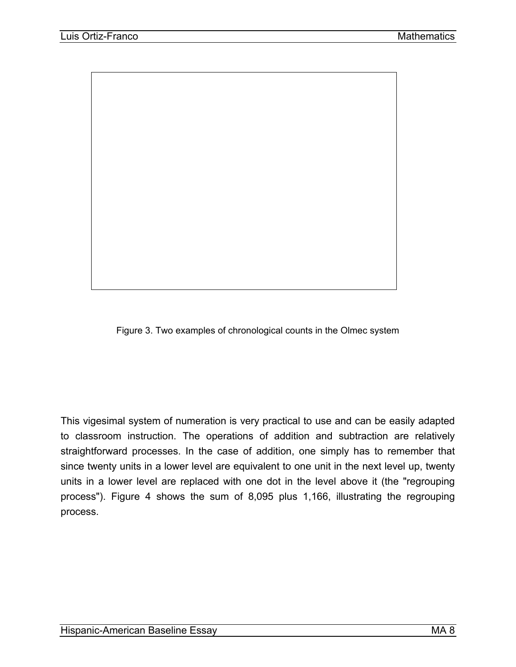



This vigesimal system of numeration is very practical to use and can be easily adapted to classroom instruction. The operations of addition and subtraction are relatively straightforward processes. In the case of addition, one simply has to remember that since twenty units in a lower level are equivalent to one unit in the next level up, twenty units in a lower level are replaced with one dot in the level above it (the "regrouping process"). Figure 4 shows the sum of 8,095 plus 1,166, illustrating the regrouping process.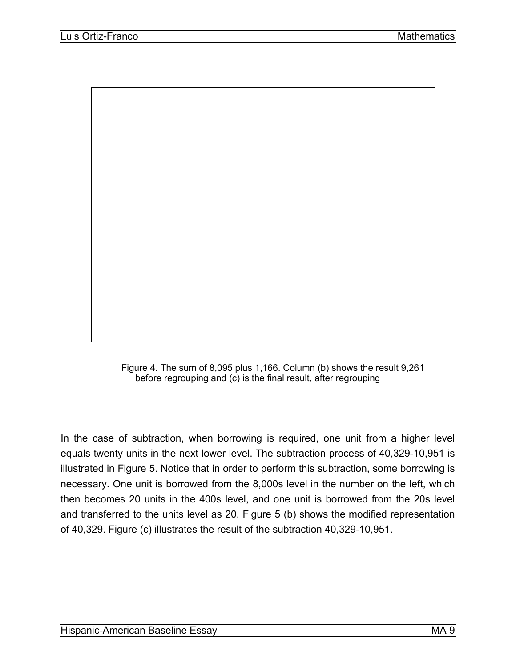

Figure 4. The sum of 8,095 plus 1,166. Column (b) shows the result 9,261 before regrouping and (c) is the final result, after regrouping

In the case of subtraction, when borrowing is required, one unit from a higher level equals twenty units in the next lower level. The subtraction process of 40,329-10,951 is illustrated in Figure 5. Notice that in order to perform this subtraction, some borrowing is necessary. One unit is borrowed from the 8,000s level in the number on the left, which then becomes 20 units in the 400s level, and one unit is borrowed from the 20s level and transferred to the units level as 20. Figure 5 (b) shows the modified representation of 40,329. Figure (c) illustrates the result of the subtraction 40,329-10,951.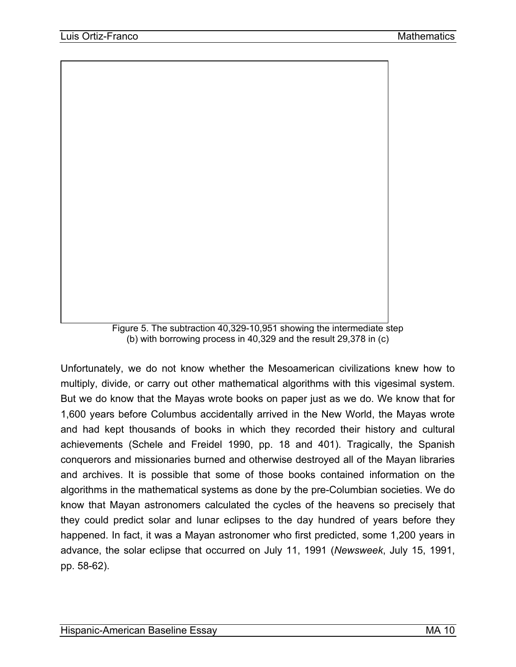

Figure 5. The subtraction 40,329-10,951 showing the intermediate step (b) with borrowing process in 40,329 and the result 29,378 in (c)

Unfortunately, we do not know whether the Mesoamerican civilizations knew how to multiply, divide, or carry out other mathematical algorithms with this vigesimal system. But we do know that the Mayas wrote books on paper just as we do. We know that for 1,600 years before Columbus accidentally arrived in the New World, the Mayas wrote and had kept thousands of books in which they recorded their history and cultural achievements (Schele and Freidel 1990, pp. 18 and 401). Tragically, the Spanish conquerors and missionaries burned and otherwise destroyed all of the Mayan libraries and archives. It is possible that some of those books contained information on the algorithms in the mathematical systems as done by the pre-Columbian societies. We do know that Mayan astronomers calculated the cycles of the heavens so precisely that they could predict solar and lunar eclipses to the day hundred of years before they happened. In fact, it was a Mayan astronomer who first predicted, some 1,200 years in advance, the solar eclipse that occurred on July 11, 1991 (*Newsweek*, July 15, 1991, pp. 58-62).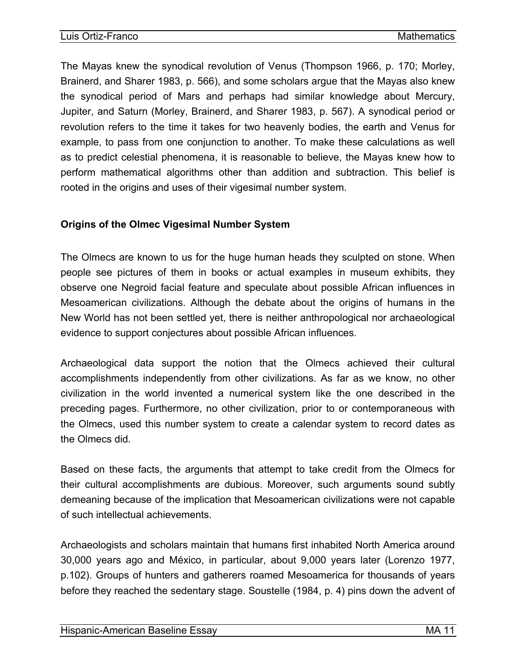<span id="page-12-0"></span>The Mayas knew the synodical revolution of Venus (Thompson 1966, p. 170; Morley, Brainerd, and Sharer 1983, p. 566), and some scholars argue that the Mayas also knew the synodical period of Mars and perhaps had similar knowledge about Mercury, Jupiter, and Saturn (Morley, Brainerd, and Sharer 1983, p. 567). A synodical period or revolution refers to the time it takes for two heavenly bodies, the earth and Venus for example, to pass from one conjunction to another. To make these calculations as well as to predict celestial phenomena, it is reasonable to believe, the Mayas knew how to perform mathematical algorithms other than addition and subtraction. This belief is rooted in the origins and uses of their vigesimal number system.

#### **Origins of the Olmec Vigesimal Number System**

The Olmecs are known to us for the huge human heads they sculpted on stone. When people see pictures of them in books or actual examples in museum exhibits, they observe one Negroid facial feature and speculate about possible African influences in Mesoamerican civilizations. Although the debate about the origins of humans in the New World has not been settled yet, there is neither anthropological nor archaeological evidence to support conjectures about possible African influences.

Archaeological data support the notion that the Olmecs achieved their cultural accomplishments independently from other civilizations. As far as we know, no other civilization in the world invented a numerical system like the one described in the preceding pages. Furthermore, no other civilization, prior to or contemporaneous with the Olmecs, used this number system to create a calendar system to record dates as the Olmecs did.

Based on these facts, the arguments that attempt to take credit from the Olmecs for their cultural accomplishments are dubious. Moreover, such arguments sound subtly demeaning because of the implication that Mesoamerican civilizations were not capable of such intellectual achievements.

Archaeologists and scholars maintain that humans first inhabited North America around 30,000 years ago and México, in particular, about 9,000 years later (Lorenzo 1977, p.102). Groups of hunters and gatherers roamed Mesoamerica for thousands of years before they reached the sedentary stage. Soustelle (1984, p. 4) pins down the advent of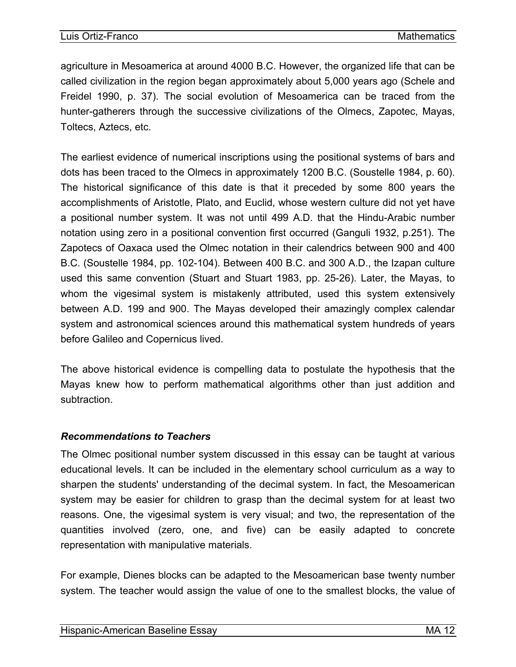<span id="page-13-0"></span>agriculture in Mesoamerica at around 4000 B.C. However, the organized life that can be called civilization in the region began approximately about 5,000 years ago (Schele and Freidel 1990, p. 37). The social evolution of Mesoamerica can be traced from the hunter-gatherers through the successive civilizations of the Olmecs, Zapotec, Mayas, Toltecs, Aztecs, etc.

The earliest evidence of numerical inscriptions using the positional systems of bars and dots has been traced to the Olmecs in approximately 1200 B.C. (Soustelle 1984, p. 60). The historical significance of this date is that it preceded by some 800 years the accomplishments of Aristotle, Plato, and Euclid, whose western culture did not yet have a positional number system. It was not until 499 A.D. that the Hindu-Arabic number notation using zero in a positional convention first occurred (Ganguli 1932, p.251). The Zapotecs of Oaxaca used the Olmec notation in their calendrics between 900 and 400 B.C. (Soustelle 1984, pp. 102-104). Between 400 B.C. and 300 A.D., the Izapan culture used this same convention (Stuart and Stuart 1983, pp. 25-26). Later, the Mayas, to whom the vigesimal system is mistakenly attributed, used this system extensively between A.D. 199 and 900. The Mayas developed their amazingly complex calendar system and astronomical sciences around this mathematical system hundreds of years before Galileo and Copernicus lived.

The above historical evidence is compelling data to postulate the hypothesis that the Mayas knew how to perform mathematical algorithms other than just addition and subtraction.

#### *Recommendations to Teachers*

The Olmec positional number system discussed in this essay can be taught at various educational levels. It can be included in the elementary school curriculum as a way to sharpen the students' understanding of the decimal system. In fact, the Mesoamerican system may be easier for children to grasp than the decimal system for at least two reasons. One, the vigesimal system is very visual; and two, the representation of the quantities involved (zero, one, and five) can be easily adapted to concrete representation with manipulative materials.

For example, Dienes blocks can be adapted to the Mesoamerican base twenty number system. The teacher would assign the value of one to the smallest blocks, the value of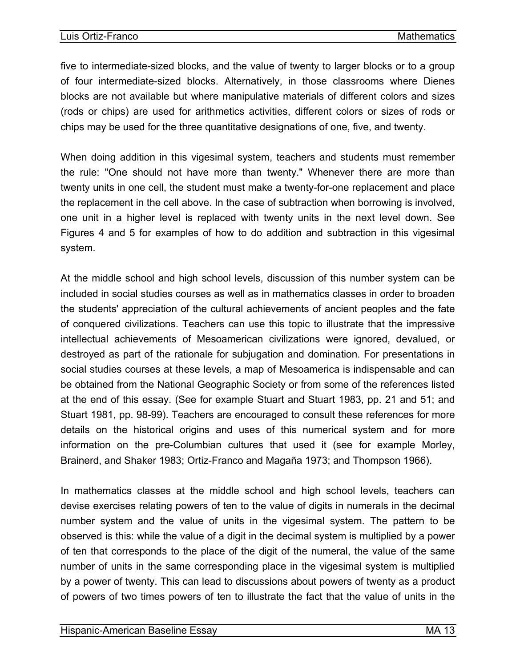five to intermediate-sized blocks, and the value of twenty to larger blocks or to a group of four intermediate-sized blocks. Alternatively, in those classrooms where Dienes blocks are not available but where manipulative materials of different colors and sizes (rods or chips) are used for arithmetics activities, different colors or sizes of rods or chips may be used for the three quantitative designations of one, five, and twenty.

When doing addition in this vigesimal system, teachers and students must remember the rule: "One should not have more than twenty." Whenever there are more than twenty units in one cell, the student must make a twenty-for-one replacement and place the replacement in the cell above. In the case of subtraction when borrowing is involved, one unit in a higher level is replaced with twenty units in the next level down. See Figures 4 and 5 for examples of how to do addition and subtraction in this vigesimal system.

At the middle school and high school levels, discussion of this number system can be included in social studies courses as well as in mathematics classes in order to broaden the students' appreciation of the cultural achievements of ancient peoples and the fate of conquered civilizations. Teachers can use this topic to illustrate that the impressive intellectual achievements of Mesoamerican civilizations were ignored, devalued, or destroyed as part of the rationale for subjugation and domination. For presentations in social studies courses at these levels, a map of Mesoamerica is indispensable and can be obtained from the National Geographic Society or from some of the references listed at the end of this essay. (See for example Stuart and Stuart 1983, pp. 21 and 51; and Stuart 1981, pp. 98-99). Teachers are encouraged to consult these references for more details on the historical origins and uses of this numerical system and for more information on the pre-Columbian cultures that used it (see for example Morley, Brainerd, and Shaker 1983; Ortiz-Franco and Magaña 1973; and Thompson 1966).

In mathematics classes at the middle school and high school levels, teachers can devise exercises relating powers of ten to the value of digits in numerals in the decimal number system and the value of units in the vigesimal system. The pattern to be observed is this: while the value of a digit in the decimal system is multiplied by a power of ten that corresponds to the place of the digit of the numeral, the value of the same number of units in the same corresponding place in the vigesimal system is multiplied by a power of twenty. This can lead to discussions about powers of twenty as a product of powers of two times powers of ten to illustrate the fact that the value of units in the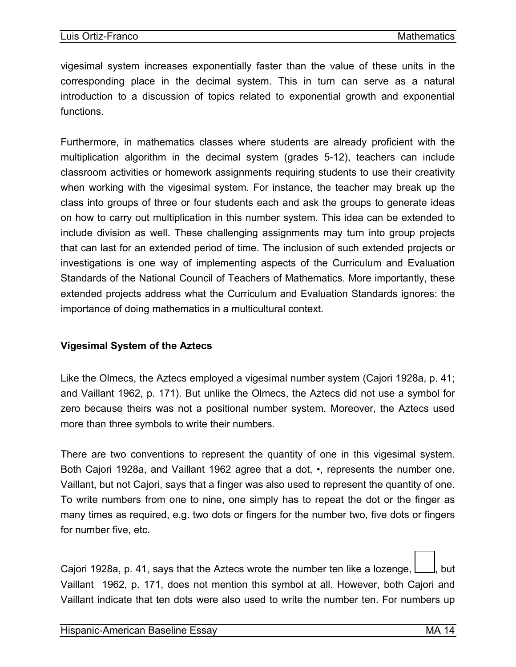<span id="page-15-0"></span>vigesimal system increases exponentially faster than the value of these units in the corresponding place in the decimal system. This in turn can serve as a natural introduction to a discussion of topics related to exponential growth and exponential functions.

Furthermore, in mathematics classes where students are already proficient with the multiplication algorithm in the decimal system (grades 5-12), teachers can include classroom activities or homework assignments requiring students to use their creativity when working with the vigesimal system. For instance, the teacher may break up the class into groups of three or four students each and ask the groups to generate ideas on how to carry out multiplication in this number system. This idea can be extended to include division as well. These challenging assignments may turn into group projects that can last for an extended period of time. The inclusion of such extended projects or investigations is one way of implementing aspects of the Curriculum and Evaluation Standards of the National Council of Teachers of Mathematics. More importantly, these extended projects address what the Curriculum and Evaluation Standards ignores: the importance of doing mathematics in a multicultural context.

#### **Vigesimal System of the Aztecs**

Like the Olmecs, the Aztecs employed a vigesimal number system (Cajori 1928a, p. 41; and Vaillant 1962, p. 171). But unlike the Olmecs, the Aztecs did not use a symbol for zero because theirs was not a positional number system. Moreover, the Aztecs used more than three symbols to write their numbers.

There are two conventions to represent the quantity of one in this vigesimal system. Both Cajori 1928a, and Vaillant 1962 agree that a dot, •, represents the number one. Vaillant, but not Cajori, says that a finger was also used to represent the quantity of one. To write numbers from one to nine, one simply has to repeat the dot or the finger as many times as required, e.g. two dots or fingers for the number two, five dots or fingers for number five, etc.

Cajori 1928a, p. 41, says that the Aztecs wrote the number ten like a lozenge,  $\lfloor \ldots \rfloor$ , but Vaillant 1962, p. 171, does not mention this symbol at all. However, both Cajori and Vaillant indicate that ten dots were also used to write the number ten. For numbers up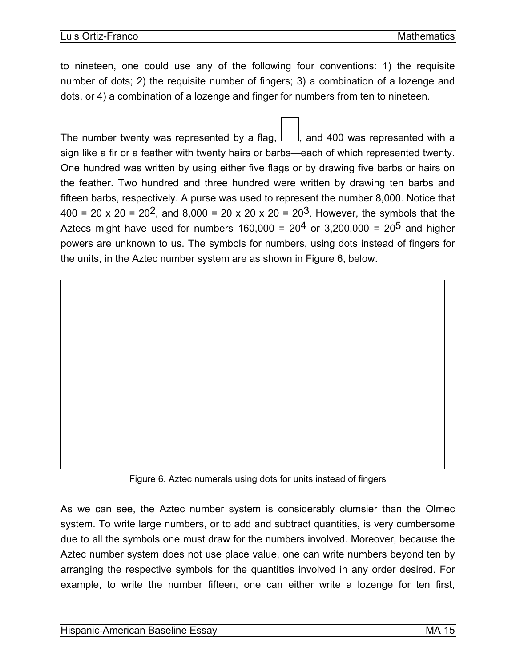to nineteen, one could use any of the following four conventions: 1) the requisite number of dots; 2) the requisite number of fingers; 3) a combination of a lozenge and dots, or 4) a combination of a lozenge and finger for numbers from ten to nineteen.

The number twenty was represented by a flag,  $\Box$ , and 400 was represented with a sign like a fir or a feather with twenty hairs or barbs—each of which represented twenty. One hundred was written by using either five flags or by drawing five barbs or hairs on the feather. Two hundred and three hundred were written by drawing ten barbs and fifteen barbs, respectively. A purse was used to represent the number 8,000. Notice that 400 = 20 x 20 = 20<sup>2</sup>, and 8,000 = 20 x 20 x 20 = 20<sup>3</sup>. However, the symbols that the Aztecs might have used for numbers 160,000 =  $20<sup>4</sup>$  or 3,200,000 =  $20<sup>5</sup>$  and higher powers are unknown to us. The symbols for numbers, using dots instead of fingers for the units, in the Aztec number system are as shown in Figure 6, below.



As we can see, the Aztec number system is considerably clumsier than the Olmec system. To write large numbers, or to add and subtract quantities, is very cumbersome due to all the symbols one must draw for the numbers involved. Moreover, because the Aztec number system does not use place value, one can write numbers beyond ten by arranging the respective symbols for the quantities involved in any order desired. For example, to write the number fifteen, one can either write a lozenge for ten first,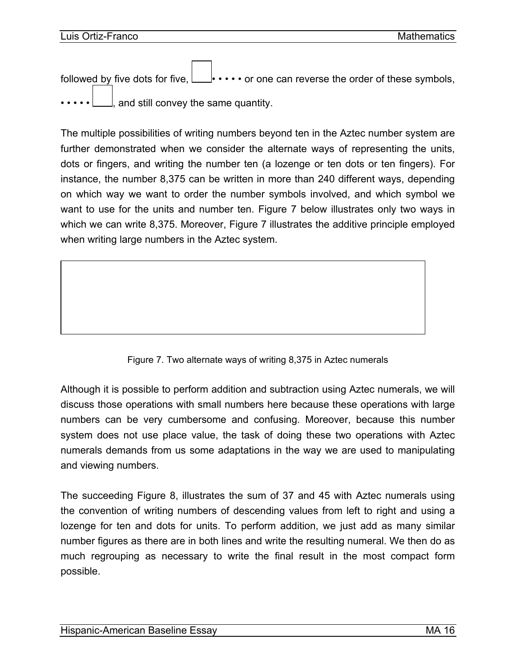followed by five dots for five,  $\Box \cdot \cdot \cdot \cdot$  or one can reverse the order of these symbols, and still convey the same quantity.

The multiple possibilities of writing numbers beyond ten in the Aztec number system are further demonstrated when we consider the alternate ways of representing the units, dots or fingers, and writing the number ten (a lozenge or ten dots or ten fingers). For instance, the number 8,375 can be written in more than 240 different ways, depending on which way we want to order the number symbols involved, and which symbol we want to use for the units and number ten. Figure 7 below illustrates only two ways in which we can write 8,375. Moreover, Figure 7 illustrates the additive principle employed when writing large numbers in the Aztec system.

Figure 7. Two alternate ways of writing 8,375 in Aztec numerals

Although it is possible to perform addition and subtraction using Aztec numerals, we will discuss those operations with small numbers here because these operations with large numbers can be very cumbersome and confusing. Moreover, because this number system does not use place value, the task of doing these two operations with Aztec numerals demands from us some adaptations in the way we are used to manipulating and viewing numbers.

The succeeding Figure 8, illustrates the sum of 37 and 45 with Aztec numerals using the convention of writing numbers of descending values from left to right and using a lozenge for ten and dots for units. To perform addition, we just add as many similar number figures as there are in both lines and write the resulting numeral. We then do as much regrouping as necessary to write the final result in the most compact form possible.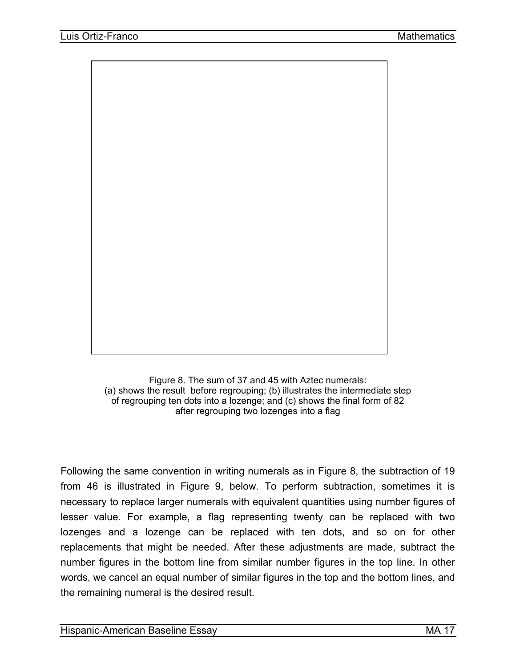

Figure 8. The sum of 37 and 45 with Aztec numerals: (a) shows the result before regrouping; (b) illustrates the intermediate step of regrouping ten dots into a lozenge; and (c) shows the final form of 82 after regrouping two lozenges into a flag

Following the same convention in writing numerals as in Figure 8, the subtraction of 19 from 46 is illustrated in Figure 9, below. To perform subtraction, sometimes it is necessary to replace larger numerals with equivalent quantities using number figures of lesser value. For example, a flag representing twenty can be replaced with two lozenges and a lozenge can be replaced with ten dots, and so on for other replacements that might be needed. After these adjustments are made, subtract the number figures in the bottom line from similar number figures in the top line. In other words, we cancel an equal number of similar figures in the top and the bottom lines, and the remaining numeral is the desired result.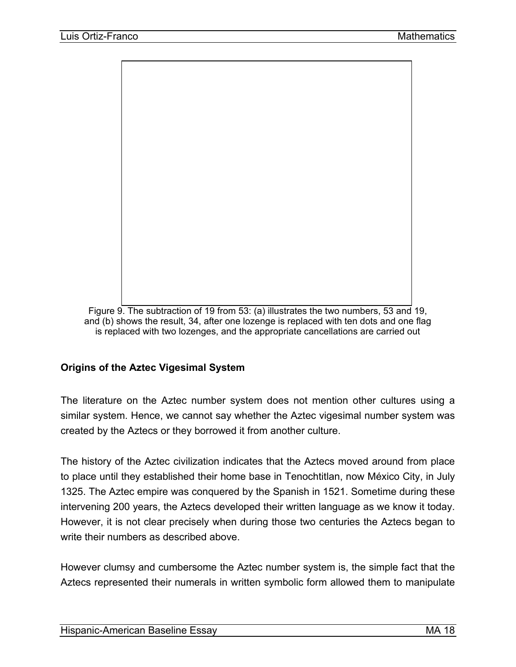<span id="page-19-0"></span>

 Figure 9. The subtraction of 19 from 53: (a) illustrates the two numbers, 53 and 19, and (b) shows the result, 34, after one lozenge is replaced with ten dots and one flag is replaced with two lozenges, and the appropriate cancellations are carried out

#### **Origins of the Aztec Vigesimal System**

The literature on the Aztec number system does not mention other cultures using a similar system. Hence, we cannot say whether the Aztec vigesimal number system was created by the Aztecs or they borrowed it from another culture.

The history of the Aztec civilization indicates that the Aztecs moved around from place to place until they established their home base in Tenochtitlan, now México City, in July 1325. The Aztec empire was conquered by the Spanish in 1521. Sometime during these intervening 200 years, the Aztecs developed their written language as we know it today. However, it is not clear precisely when during those two centuries the Aztecs began to write their numbers as described above.

However clumsy and cumbersome the Aztec number system is, the simple fact that the Aztecs represented their numerals in written symbolic form allowed them to manipulate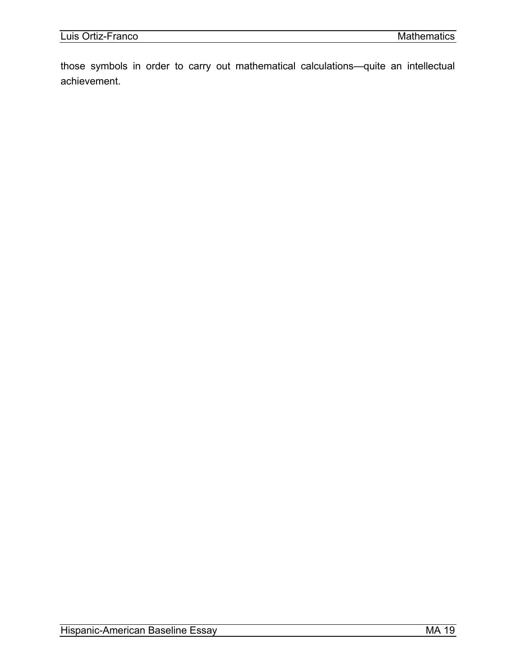those symbols in order to carry out mathematical calculations—quite an intellectual achievement.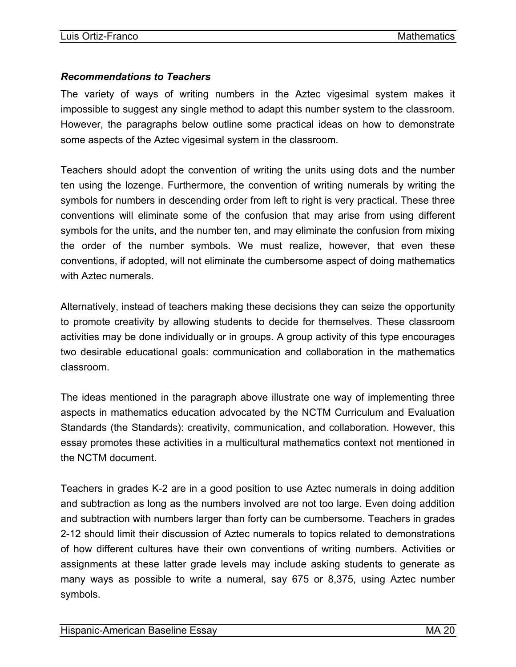#### <span id="page-21-0"></span>*Recommendations to Teachers*

The variety of ways of writing numbers in the Aztec vigesimal system makes it impossible to suggest any single method to adapt this number system to the classroom. However, the paragraphs below outline some practical ideas on how to demonstrate some aspects of the Aztec vigesimal system in the classroom.

Teachers should adopt the convention of writing the units using dots and the number ten using the lozenge. Furthermore, the convention of writing numerals by writing the symbols for numbers in descending order from left to right is very practical. These three conventions will eliminate some of the confusion that may arise from using different symbols for the units, and the number ten, and may eliminate the confusion from mixing the order of the number symbols. We must realize, however, that even these conventions, if adopted, will not eliminate the cumbersome aspect of doing mathematics with Aztec numerals.

Alternatively, instead of teachers making these decisions they can seize the opportunity to promote creativity by allowing students to decide for themselves. These classroom activities may be done individually or in groups. A group activity of this type encourages two desirable educational goals: communication and collaboration in the mathematics classroom.

The ideas mentioned in the paragraph above illustrate one way of implementing three aspects in mathematics education advocated by the NCTM Curriculum and Evaluation Standards (the Standards): creativity, communication, and collaboration. However, this essay promotes these activities in a multicultural mathematics context not mentioned in the NCTM document.

Teachers in grades K-2 are in a good position to use Aztec numerals in doing addition and subtraction as long as the numbers involved are not too large. Even doing addition and subtraction with numbers larger than forty can be cumbersome. Teachers in grades 2-12 should limit their discussion of Aztec numerals to topics related to demonstrations of how different cultures have their own conventions of writing numbers. Activities or assignments at these latter grade levels may include asking students to generate as many ways as possible to write a numeral, say 675 or 8,375, using Aztec number symbols.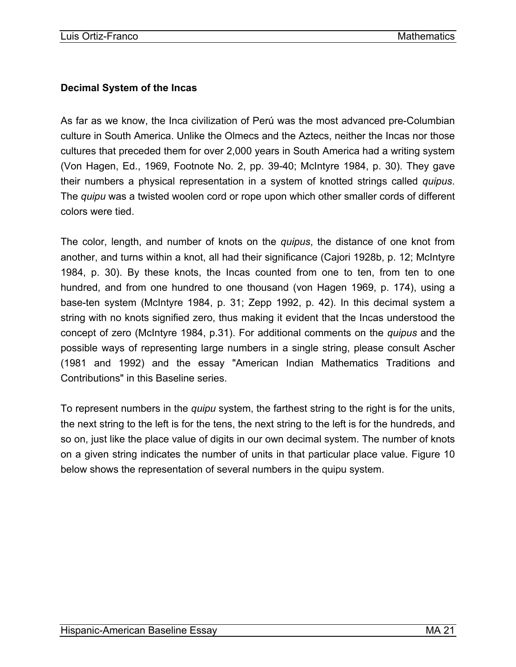#### <span id="page-22-0"></span>**Decimal System of the Incas**

As far as we know, the Inca civilization of Perú was the most advanced pre-Columbian culture in South America. Unlike the Olmecs and the Aztecs, neither the Incas nor those cultures that preceded them for over 2,000 years in South America had a writing system (Von Hagen, Ed., 1969, Footnote No. 2, pp. 39-40; McIntyre 1984, p. 30). They gave their numbers a physical representation in a system of knotted strings called *quipus*. The *quipu* was a twisted woolen cord or rope upon which other smaller cords of different colors were tied.

The color, length, and number of knots on the *quipus*, the distance of one knot from another, and turns within a knot, all had their significance (Cajori 1928b, p. 12; McIntyre 1984, p. 30). By these knots, the Incas counted from one to ten, from ten to one hundred, and from one hundred to one thousand (von Hagen 1969, p. 174), using a base-ten system (McIntyre 1984, p. 31; Zepp 1992, p. 42). In this decimal system a string with no knots signified zero, thus making it evident that the Incas understood the concept of zero (McIntyre 1984, p.31). For additional comments on the *quipus* and the possible ways of representing large numbers in a single string, please consult Ascher (1981 and 1992) and the essay "American Indian Mathematics Traditions and Contributions" in this Baseline series.

To represent numbers in the *quipu* system, the farthest string to the right is for the units, the next string to the left is for the tens, the next string to the left is for the hundreds, and so on, just like the place value of digits in our own decimal system. The number of knots on a given string indicates the number of units in that particular place value. Figure 10 below shows the representation of several numbers in the quipu system.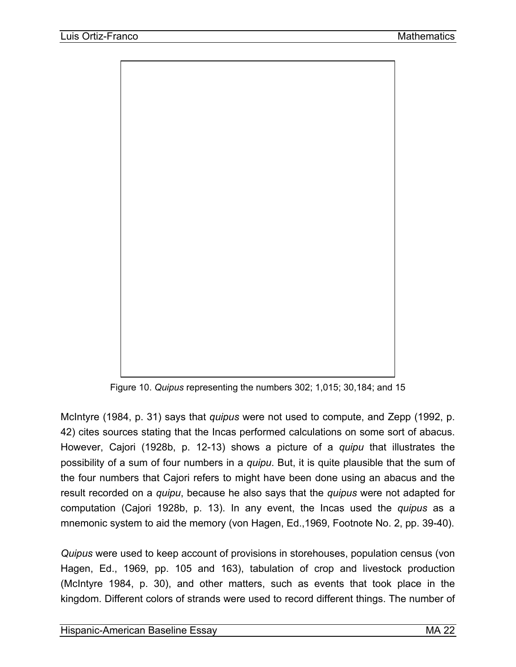

Figure 10. *Quipus* representing the numbers 302; 1,015; 30,184; and 15

McIntyre (1984, p. 31) says that *quipus* were not used to compute, and Zepp (1992, p. 42) cites sources stating that the Incas performed calculations on some sort of abacus. However, Cajori (1928b, p. 12-13) shows a picture of a *quipu* that illustrates the possibility of a sum of four numbers in a *quipu*. But, it is quite plausible that the sum of the four numbers that Cajori refers to might have been done using an abacus and the result recorded on a *quipu*, because he also says that the *quipus* were not adapted for computation (Cajori 1928b, p. 13). In any event, the Incas used the *quipus* as a mnemonic system to aid the memory (von Hagen, Ed.,1969, Footnote No. 2, pp. 39-40).

*Quipus* were used to keep account of provisions in storehouses, population census (von Hagen, Ed., 1969, pp. 105 and 163), tabulation of crop and livestock production (McIntyre 1984, p. 30), and other matters, such as events that took place in the kingdom. Different colors of strands were used to record different things. The number of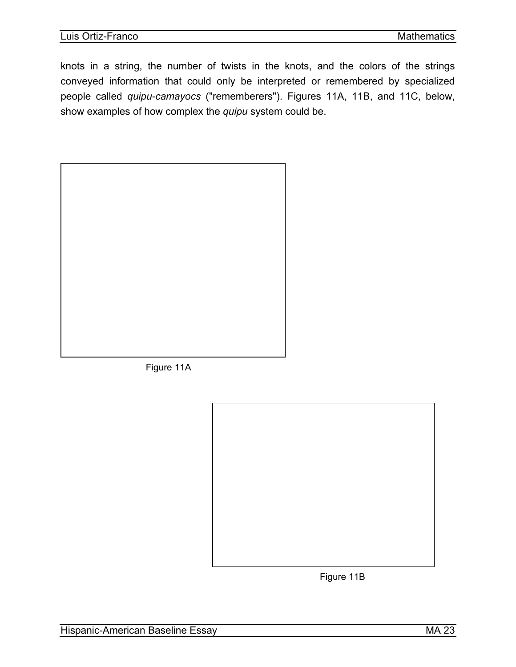knots in a string, the number of twists in the knots, and the colors of the strings conveyed information that could only be interpreted or remembered by specialized people called *quipu-camayocs* ("rememberers"). Figures 11A, 11B, and 11C, below, show examples of how complex the *quipu* system could be.



Figure 11A



Figure 11B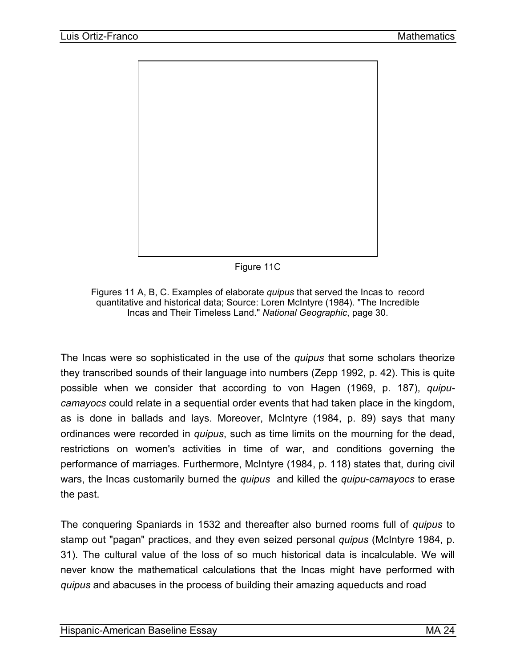

Figure 11C

Figures 11 A, B, C. Examples of elaborate *quipus* that served the Incas to record quantitative and historical data; Source: Loren McIntyre (1984). "The Incredible Incas and Their Timeless Land." *National Geographic*, page 30.

The Incas were so sophisticated in the use of the *quipus* that some scholars theorize they transcribed sounds of their language into numbers (Zepp 1992, p. 42). This is quite possible when we consider that according to von Hagen (1969, p. 187), *quipucamayocs* could relate in a sequential order events that had taken place in the kingdom, as is done in ballads and lays. Moreover, McIntyre (1984, p. 89) says that many ordinances were recorded in *quipus*, such as time limits on the mourning for the dead, restrictions on women's activities in time of war, and conditions governing the performance of marriages. Furthermore, McIntyre (1984, p. 118) states that, during civil wars, the Incas customarily burned the *quipus* and killed the *quipu*-*camayocs* to erase the past.

The conquering Spaniards in 1532 and thereafter also burned rooms full of *quipus* to stamp out "pagan" practices, and they even seized personal *quipus* (McIntyre 1984, p. 31). The cultural value of the loss of so much historical data is incalculable. We will never know the mathematical calculations that the Incas might have performed with *quipus* and abacuses in the process of building their amazing aqueducts and road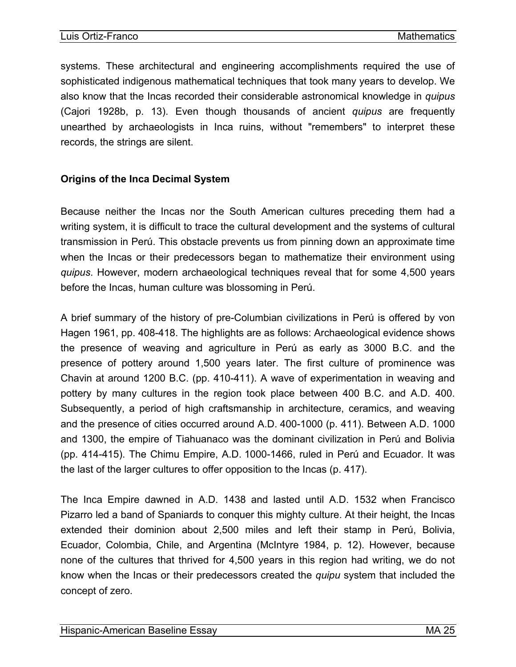<span id="page-26-0"></span>systems. These architectural and engineering accomplishments required the use of sophisticated indigenous mathematical techniques that took many years to develop. We also know that the Incas recorded their considerable astronomical knowledge in *quipus* (Cajori 1928b, p. 13). Even though thousands of ancient *quipus* are frequently unearthed by archaeologists in Inca ruins, without "remembers" to interpret these records, the strings are silent.

#### **Origins of the Inca Decimal System**

Because neither the Incas nor the South American cultures preceding them had a writing system, it is difficult to trace the cultural development and the systems of cultural transmission in Perú. This obstacle prevents us from pinning down an approximate time when the Incas or their predecessors began to mathematize their environment using *quipus*. However, modern archaeological techniques reveal that for some 4,500 years before the Incas, human culture was blossoming in Perú.

A brief summary of the history of pre-Columbian civilizations in Perú is offered by von Hagen 1961, pp. 408-418. The highlights are as follows: Archaeological evidence shows the presence of weaving and agriculture in Perú as early as 3000 B.C. and the presence of pottery around 1,500 years later. The first culture of prominence was Chavin at around 1200 B.C. (pp. 410-411). A wave of experimentation in weaving and pottery by many cultures in the region took place between 400 B.C. and A.D. 400. Subsequently, a period of high craftsmanship in architecture, ceramics, and weaving and the presence of cities occurred around A.D. 400-1000 (p. 411). Between A.D. 1000 and 1300, the empire of Tiahuanaco was the dominant civilization in Perú and Bolivia (pp. 414-415). The Chimu Empire, A.D. 1000-1466, ruled in Perú and Ecuador. It was the last of the larger cultures to offer opposition to the Incas (p. 417).

The Inca Empire dawned in A.D. 1438 and lasted until A.D. 1532 when Francisco Pizarro led a band of Spaniards to conquer this mighty culture. At their height, the Incas extended their dominion about 2,500 miles and left their stamp in Perú, Bolivia, Ecuador, Colombia, Chile, and Argentina (McIntyre 1984, p. 12). However, because none of the cultures that thrived for 4,500 years in this region had writing, we do not know when the Incas or their predecessors created the *quipu* system that included the concept of zero.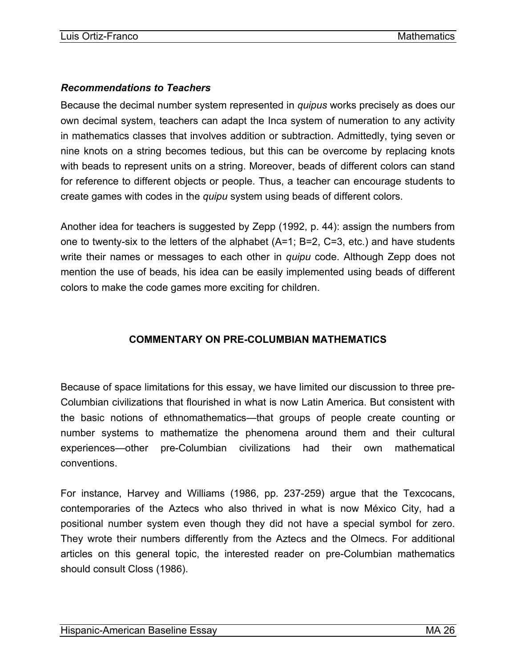#### <span id="page-27-0"></span>*Recommendations to Teachers*

Because the decimal number system represented in *quipus* works precisely as does our own decimal system, teachers can adapt the Inca system of numeration to any activity in mathematics classes that involves addition or subtraction. Admittedly, tying seven or nine knots on a string becomes tedious, but this can be overcome by replacing knots with beads to represent units on a string. Moreover, beads of different colors can stand for reference to different objects or people. Thus, a teacher can encourage students to create games with codes in the *quipu* system using beads of different colors.

Another idea for teachers is suggested by Zepp (1992, p. 44): assign the numbers from one to twenty-six to the letters of the alphabet (A=1; B=2, C=3, etc.) and have students write their names or messages to each other in *quipu* code. Although Zepp does not mention the use of beads, his idea can be easily implemented using beads of different colors to make the code games more exciting for children.

# **COMMENTARY ON PRE-COLUMBIAN MATHEMATICS**

Because of space limitations for this essay, we have limited our discussion to three pre-Columbian civilizations that flourished in what is now Latin America. But consistent with the basic notions of ethnomathematics—that groups of people create counting or number systems to mathematize the phenomena around them and their cultural experiences—other pre-Columbian civilizations had their own mathematical conventions.

For instance, Harvey and Williams (1986, pp. 237-259) argue that the Texcocans, contemporaries of the Aztecs who also thrived in what is now México City, had a positional number system even though they did not have a special symbol for zero. They wrote their numbers differently from the Aztecs and the Olmecs. For additional articles on this general topic, the interested reader on pre-Columbian mathematics should consult Closs (1986).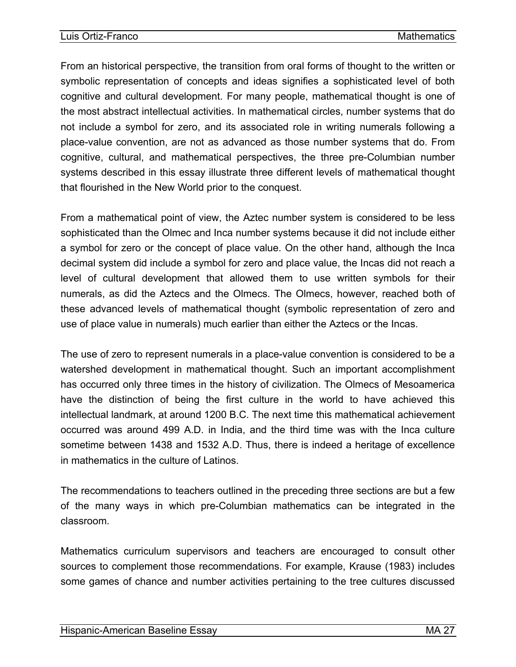From an historical perspective, the transition from oral forms of thought to the written or symbolic representation of concepts and ideas signifies a sophisticated level of both cognitive and cultural development. For many people, mathematical thought is one of the most abstract intellectual activities. In mathematical circles, number systems that do not include a symbol for zero, and its associated role in writing numerals following a place-value convention, are not as advanced as those number systems that do. From cognitive, cultural, and mathematical perspectives, the three pre-Columbian number systems described in this essay illustrate three different levels of mathematical thought that flourished in the New World prior to the conquest.

From a mathematical point of view, the Aztec number system is considered to be less sophisticated than the Olmec and Inca number systems because it did not include either a symbol for zero or the concept of place value. On the other hand, although the Inca decimal system did include a symbol for zero and place value, the Incas did not reach a level of cultural development that allowed them to use written symbols for their numerals, as did the Aztecs and the Olmecs. The Olmecs, however, reached both of these advanced levels of mathematical thought (symbolic representation of zero and use of place value in numerals) much earlier than either the Aztecs or the Incas.

The use of zero to represent numerals in a place-value convention is considered to be a watershed development in mathematical thought. Such an important accomplishment has occurred only three times in the history of civilization. The Olmecs of Mesoamerica have the distinction of being the first culture in the world to have achieved this intellectual landmark, at around 1200 B.C. The next time this mathematical achievement occurred was around 499 A.D. in India, and the third time was with the Inca culture sometime between 1438 and 1532 A.D. Thus, there is indeed a heritage of excellence in mathematics in the culture of Latinos.

The recommendations to teachers outlined in the preceding three sections are but a few of the many ways in which pre-Columbian mathematics can be integrated in the classroom.

Mathematics curriculum supervisors and teachers are encouraged to consult other sources to complement those recommendations. For example, Krause (1983) includes some games of chance and number activities pertaining to the tree cultures discussed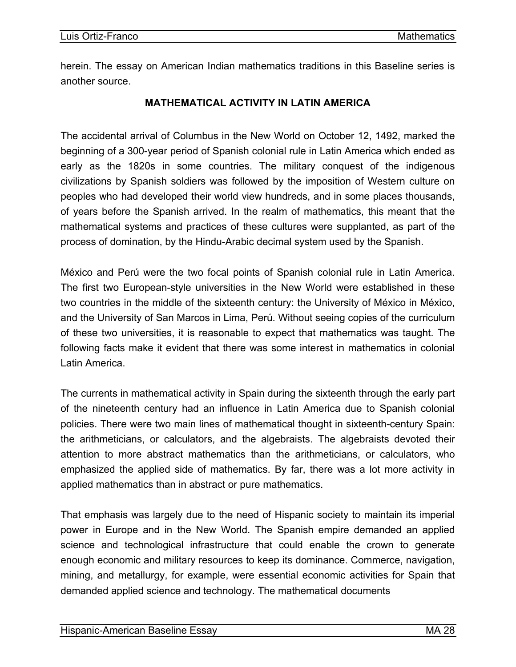<span id="page-29-0"></span>herein. The essay on American Indian mathematics traditions in this Baseline series is another source.

#### **MATHEMATICAL ACTIVITY IN LATIN AMERICA**

The accidental arrival of Columbus in the New World on October 12, 1492, marked the beginning of a 300-year period of Spanish colonial rule in Latin America which ended as early as the 1820s in some countries. The military conquest of the indigenous civilizations by Spanish soldiers was followed by the imposition of Western culture on peoples who had developed their world view hundreds, and in some places thousands, of years before the Spanish arrived. In the realm of mathematics, this meant that the mathematical systems and practices of these cultures were supplanted, as part of the process of domination, by the Hindu-Arabic decimal system used by the Spanish.

México and Perú were the two focal points of Spanish colonial rule in Latin America. The first two European-style universities in the New World were established in these two countries in the middle of the sixteenth century: the University of México in México, and the University of San Marcos in Lima, Perú. Without seeing copies of the curriculum of these two universities, it is reasonable to expect that mathematics was taught. The following facts make it evident that there was some interest in mathematics in colonial Latin America.

The currents in mathematical activity in Spain during the sixteenth through the early part of the nineteenth century had an influence in Latin America due to Spanish colonial policies. There were two main lines of mathematical thought in sixteenth-century Spain: the arithmeticians, or calculators, and the algebraists. The algebraists devoted their attention to more abstract mathematics than the arithmeticians, or calculators, who emphasized the applied side of mathematics. By far, there was a lot more activity in applied mathematics than in abstract or pure mathematics.

That emphasis was largely due to the need of Hispanic society to maintain its imperial power in Europe and in the New World. The Spanish empire demanded an applied science and technological infrastructure that could enable the crown to generate enough economic and military resources to keep its dominance. Commerce, navigation, mining, and metallurgy, for example, were essential economic activities for Spain that demanded applied science and technology. The mathematical documents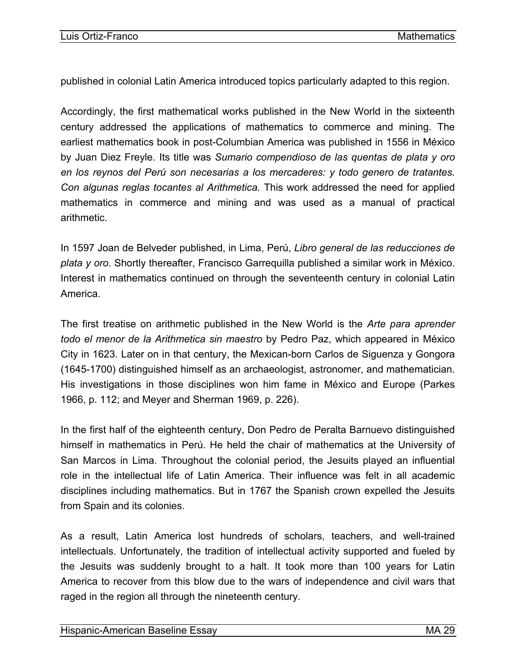published in colonial Latin America introduced topics particularly adapted to this region.

Accordingly, the first mathematical works published in the New World in the sixteenth century addressed the applications of mathematics to commerce and mining. The earliest mathematics book in post-Columbian America was published in 1556 in México by Juan Diez Freyle. Its title was *Sumario compendioso de las quentas de plata y oro en los reynos del Perú son necesarias a los mercaderes: y todo genero de tratantes. Con algunas reglas tocantes al Arithmetica.* This work addressed the need for applied mathematics in commerce and mining and was used as a manual of practical arithmetic.

In 1597 Joan de Belveder published, in Lima, Perú, *Libro general de las reducciones de plata y oro*. Shortly thereafter, Francisco Garrequilla published a similar work in México. Interest in mathematics continued on through the seventeenth century in colonial Latin America.

The first treatise on arithmetic published in the New World is the *Arte para aprender todo el menor de la Arithmetica sin maestro* by Pedro Paz, which appeared in México City in 1623. Later on in that century, the Mexican-born Carlos de Siguenza y Gongora (1645-1700) distinguished himself as an archaeologist, astronomer, and mathematician. His investigations in those disciplines won him fame in México and Europe (Parkes 1966, p. 112; and Meyer and Sherman 1969, p. 226).

In the first half of the eighteenth century, Don Pedro de Peralta Barnuevo distinguished himself in mathematics in Perú. He held the chair of mathematics at the University of San Marcos in Lima. Throughout the colonial period, the Jesuits played an influential role in the intellectual life of Latin America. Their influence was felt in all academic disciplines including mathematics. But in 1767 the Spanish crown expelled the Jesuits from Spain and its colonies.

As a result, Latin America lost hundreds of scholars, teachers, and well-trained intellectuals. Unfortunately, the tradition of intellectual activity supported and fueled by the Jesuits was suddenly brought to a halt. It took more than 100 years for Latin America to recover from this blow due to the wars of independence and civil wars that raged in the region all through the nineteenth century.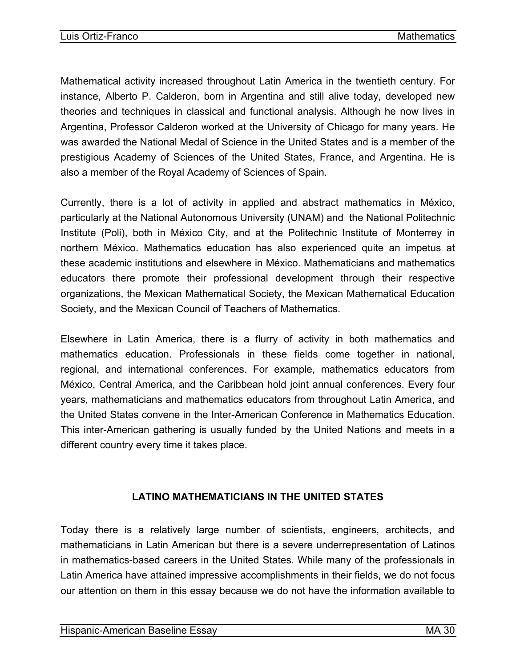<span id="page-31-0"></span>Mathematical activity increased throughout Latin America in the twentieth century. For instance, Alberto P. Calderon, born in Argentina and still alive today, developed new theories and techniques in classical and functional analysis. Although he now lives in Argentina, Professor Calderon worked at the University of Chicago for many years. He was awarded the National Medal of Science in the United States and is a member of the prestigious Academy of Sciences of the United States, France, and Argentina. He is also a member of the Royal Academy of Sciences of Spain.

Currently, there is a lot of activity in applied and abstract mathematics in México, particularly at the National Autonomous University (UNAM) and the National Politechnic Institute (Poli), both in México City, and at the Politechnic Institute of Monterrey in northern México. Mathematics education has also experienced quite an impetus at these academic institutions and elsewhere in México. Mathematicians and mathematics educators there promote their professional development through their respective organizations, the Mexican Mathematical Society, the Mexican Mathematical Education Society, and the Mexican Council of Teachers of Mathematics.

Elsewhere in Latin America, there is a flurry of activity in both mathematics and mathematics education. Professionals in these fields come together in national, regional, and international conferences. For example, mathematics educators from México, Central America, and the Caribbean hold joint annual conferences. Every four years, mathematicians and mathematics educators from throughout Latin America, and the United States convene in the Inter-American Conference in Mathematics Education. This inter-American gathering is usually funded by the United Nations and meets in a different country every time it takes place.

# **LATINO MATHEMATICIANS IN THE UNITED STATES**

Today there is a relatively large number of scientists, engineers, architects, and mathematicians in Latin American but there is a severe underrepresentation of Latinos in mathematics-based careers in the United States. While many of the professionals in Latin America have attained impressive accomplishments in their fields, we do not focus our attention on them in this essay because we do not have the information available to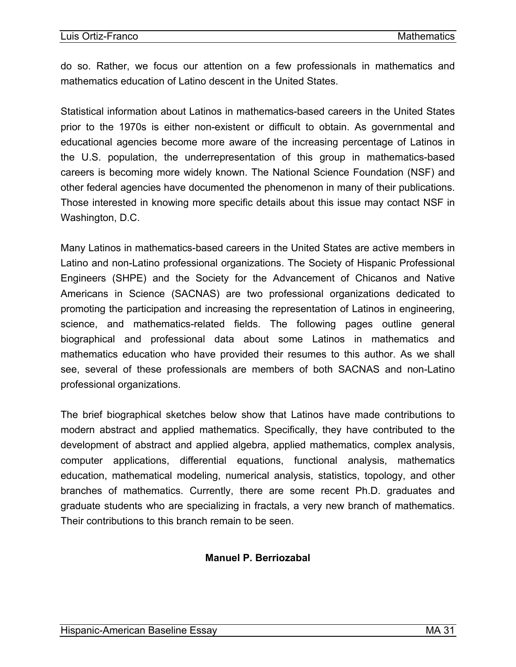<span id="page-32-0"></span>do so. Rather, we focus our attention on a few professionals in mathematics and mathematics education of Latino descent in the United States.

Statistical information about Latinos in mathematics-based careers in the United States prior to the 1970s is either non-existent or difficult to obtain. As governmental and educational agencies become more aware of the increasing percentage of Latinos in the U.S. population, the underrepresentation of this group in mathematics-based careers is becoming more widely known. The National Science Foundation (NSF) and other federal agencies have documented the phenomenon in many of their publications. Those interested in knowing more specific details about this issue may contact NSF in Washington, D.C.

Many Latinos in mathematics-based careers in the United States are active members in Latino and non-Latino professional organizations. The Society of Hispanic Professional Engineers (SHPE) and the Society for the Advancement of Chicanos and Native Americans in Science (SACNAS) are two professional organizations dedicated to promoting the participation and increasing the representation of Latinos in engineering, science, and mathematics-related fields. The following pages outline general biographical and professional data about some Latinos in mathematics and mathematics education who have provided their resumes to this author. As we shall see, several of these professionals are members of both SACNAS and non-Latino professional organizations.

The brief biographical sketches below show that Latinos have made contributions to modern abstract and applied mathematics. Specifically, they have contributed to the development of abstract and applied algebra, applied mathematics, complex analysis, computer applications, differential equations, functional analysis, mathematics education, mathematical modeling, numerical analysis, statistics, topology, and other branches of mathematics. Currently, there are some recent Ph.D. graduates and graduate students who are specializing in fractals, a very new branch of mathematics. Their contributions to this branch remain to be seen.

# **Manuel P. Berriozabal**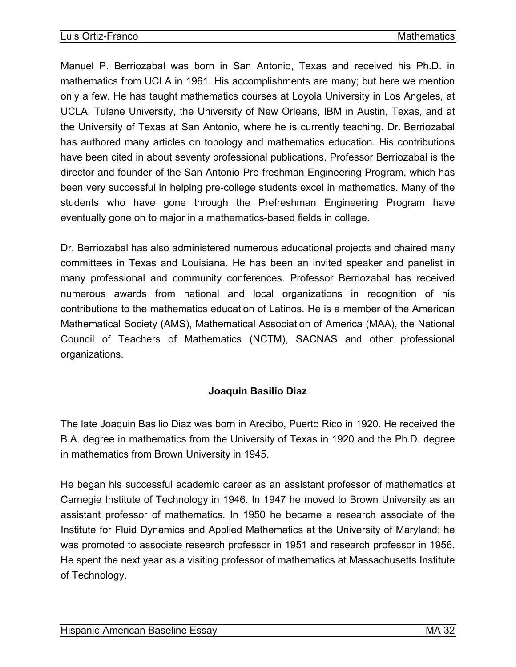<span id="page-33-0"></span>Manuel P. Berriozabal was born in San Antonio, Texas and received his Ph.D. in mathematics from UCLA in 1961. His accomplishments are many; but here we mention only a few. He has taught mathematics courses at Loyola University in Los Angeles, at UCLA, Tulane University, the University of New Orleans, IBM in Austin, Texas, and at the University of Texas at San Antonio, where he is currently teaching. Dr. Berriozabal has authored many articles on topology and mathematics education. His contributions have been cited in about seventy professional publications. Professor Berriozabal is the director and founder of the San Antonio Pre-freshman Engineering Program, which has been very successful in helping pre-college students excel in mathematics. Many of the students who have gone through the Prefreshman Engineering Program have eventually gone on to major in a mathematics-based fields in college.

Dr. Berriozabal has also administered numerous educational projects and chaired many committees in Texas and Louisiana. He has been an invited speaker and panelist in many professional and community conferences. Professor Berriozabal has received numerous awards from national and local organizations in recognition of his contributions to the mathematics education of Latinos. He is a member of the American Mathematical Society (AMS), Mathematical Association of America (MAA), the National Council of Teachers of Mathematics (NCTM), SACNAS and other professional organizations.

# **Joaquin Basilio Diaz**

The late Joaquin Basilio Diaz was born in Arecibo, Puerto Rico in 1920. He received the B.A. degree in mathematics from the University of Texas in 1920 and the Ph.D. degree in mathematics from Brown University in 1945.

He began his successful academic career as an assistant professor of mathematics at Carnegie Institute of Technology in 1946. In 1947 he moved to Brown University as an assistant professor of mathematics. In 1950 he became a research associate of the Institute for Fluid Dynamics and Applied Mathematics at the University of Maryland; he was promoted to associate research professor in 1951 and research professor in 1956. He spent the next year as a visiting professor of mathematics at Massachusetts Institute of Technology.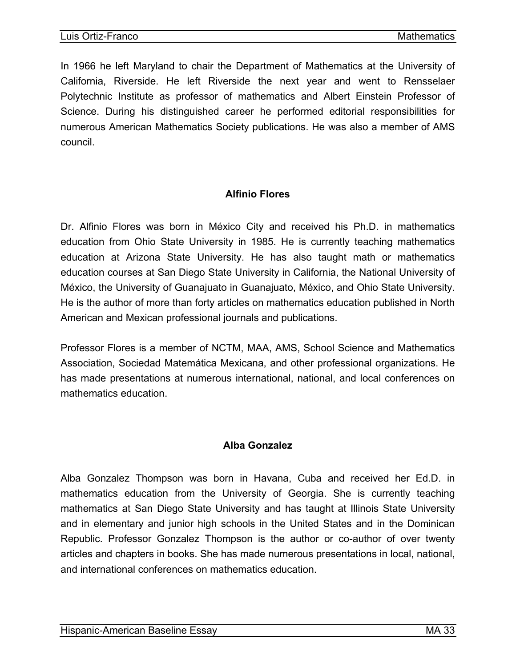<span id="page-34-0"></span>In 1966 he left Maryland to chair the Department of Mathematics at the University of California, Riverside. He left Riverside the next year and went to Rensselaer Polytechnic Institute as professor of mathematics and Albert Einstein Professor of Science. During his distinguished career he performed editorial responsibilities for numerous American Mathematics Society publications. He was also a member of AMS council.

#### **Alfinio Flores**

Dr. Alfinio Flores was born in México City and received his Ph.D. in mathematics education from Ohio State University in 1985. He is currently teaching mathematics education at Arizona State University. He has also taught math or mathematics education courses at San Diego State University in California, the National University of México, the University of Guanajuato in Guanajuato, México, and Ohio State University. He is the author of more than forty articles on mathematics education published in North American and Mexican professional journals and publications.

Professor Flores is a member of NCTM, MAA, AMS, School Science and Mathematics Association, Sociedad Matemática Mexicana, and other professional organizations. He has made presentations at numerous international, national, and local conferences on mathematics education.

#### **Alba Gonzalez**

Alba Gonzalez Thompson was born in Havana, Cuba and received her Ed.D. in mathematics education from the University of Georgia. She is currently teaching mathematics at San Diego State University and has taught at Illinois State University and in elementary and junior high schools in the United States and in the Dominican Republic. Professor Gonzalez Thompson is the author or co-author of over twenty articles and chapters in books. She has made numerous presentations in local, national, and international conferences on mathematics education.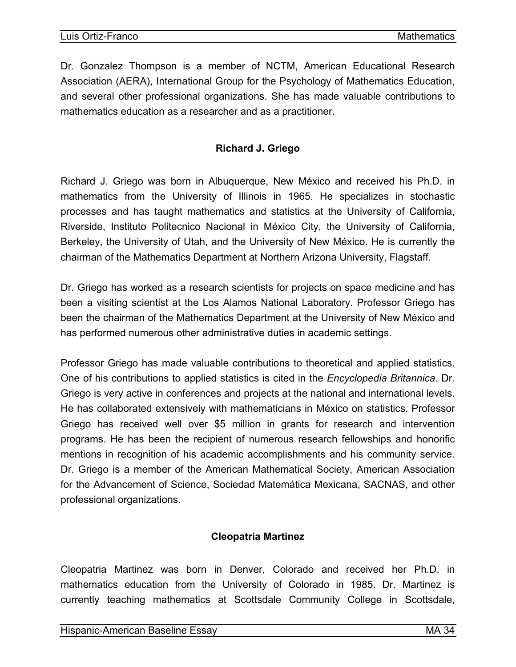<span id="page-35-0"></span>Dr. Gonzalez Thompson is a member of NCTM, American Educational Research Association (AERA), International Group for the Psychology of Mathematics Education, and several other professional organizations. She has made valuable contributions to mathematics education as a researcher and as a practitioner.

#### **Richard J. Griego**

Richard J. Griego was born in Albuquerque, New México and received his Ph.D. in mathematics from the University of Illinois in 1965. He specializes in stochastic processes and has taught mathematics and statistics at the University of California, Riverside, Instituto Politecnico Nacional in México City, the University of California, Berkeley, the University of Utah, and the University of New México. He is currently the chairman of the Mathematics Department at Northern Arizona University, Flagstaff.

Dr. Griego has worked as a research scientists for projects on space medicine and has been a visiting scientist at the Los Alamos National Laboratory. Professor Griego has been the chairman of the Mathematics Department at the University of New México and has performed numerous other administrative duties in academic settings.

Professor Griego has made valuable contributions to theoretical and applied statistics. One of his contributions to applied statistics is cited in the *Encyclopedia Britannica*. Dr. Griego is very active in conferences and projects at the national and international levels. He has collaborated extensively with mathematicians in México on statistics. Professor Griego has received well over \$5 million in grants for research and intervention programs. He has been the recipient of numerous research fellowships and honorific mentions in recognition of his academic accomplishments and his community service. Dr. Griego is a member of the American Mathematical Society, American Association for the Advancement of Science, Sociedad Matemática Mexicana, SACNAS, and other professional organizations.

#### **Cleopatria Martinez**

Cleopatria Martinez was born in Denver, Colorado and received her Ph.D. in mathematics education from the University of Colorado in 1985. Dr. Martinez is currently teaching mathematics at Scottsdale Community College in Scottsdale,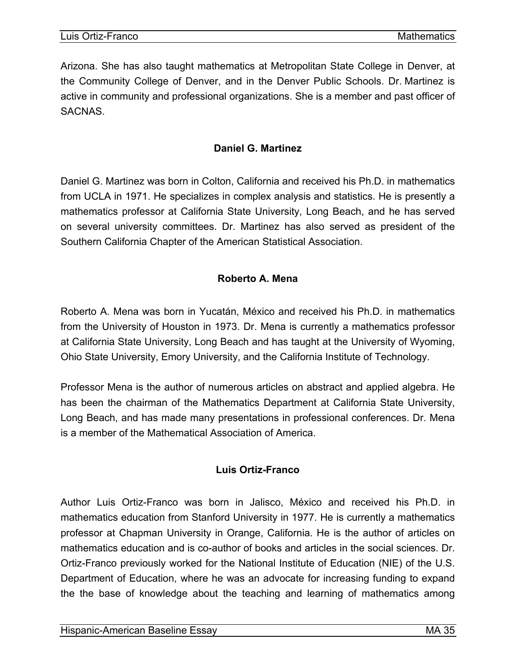<span id="page-36-0"></span>Arizona. She has also taught mathematics at Metropolitan State College in Denver, at the Community College of Denver, and in the Denver Public Schools. Dr. Martinez is active in community and professional organizations. She is a member and past officer of **SACNAS** 

#### **Daniel G. Martinez**

Daniel G. Martinez was born in Colton, California and received his Ph.D. in mathematics from UCLA in 1971. He specializes in complex analysis and statistics. He is presently a mathematics professor at California State University, Long Beach, and he has served on several university committees. Dr. Martinez has also served as president of the Southern California Chapter of the American Statistical Association.

#### **Roberto A. Mena**

Roberto A. Mena was born in Yucatán, México and received his Ph.D. in mathematics from the University of Houston in 1973. Dr. Mena is currently a mathematics professor at California State University, Long Beach and has taught at the University of Wyoming, Ohio State University, Emory University, and the California Institute of Technology.

Professor Mena is the author of numerous articles on abstract and applied algebra. He has been the chairman of the Mathematics Department at California State University, Long Beach, and has made many presentations in professional conferences. Dr. Mena is a member of the Mathematical Association of America.

# **Luis Ortiz-Franco**

Author Luis Ortiz-Franco was born in Jalisco, México and received his Ph.D. in mathematics education from Stanford University in 1977. He is currently a mathematics professor at Chapman University in Orange, California. He is the author of articles on mathematics education and is co-author of books and articles in the social sciences. Dr. Ortiz-Franco previously worked for the National Institute of Education (NIE) of the U.S. Department of Education, where he was an advocate for increasing funding to expand the the base of knowledge about the teaching and learning of mathematics among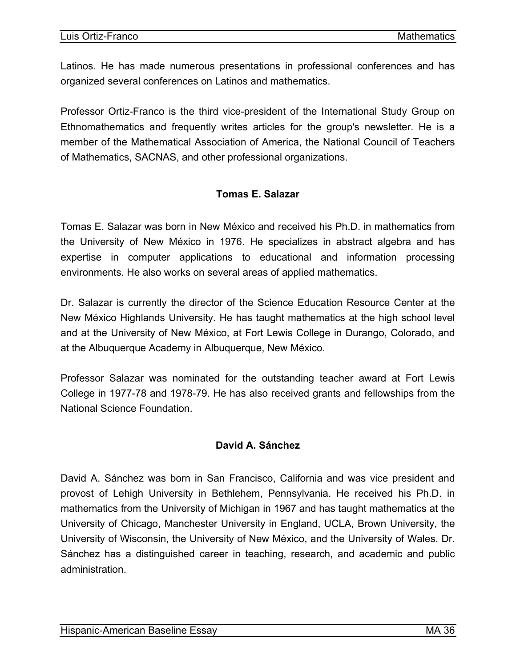<span id="page-37-0"></span>Latinos. He has made numerous presentations in professional conferences and has organized several conferences on Latinos and mathematics.

Professor Ortiz-Franco is the third vice-president of the International Study Group on Ethnomathematics and frequently writes articles for the group's newsletter. He is a member of the Mathematical Association of America, the National Council of Teachers of Mathematics, SACNAS, and other professional organizations.

# **Tomas E. Salazar**

Tomas E. Salazar was born in New México and received his Ph.D. in mathematics from the University of New México in 1976. He specializes in abstract algebra and has expertise in computer applications to educational and information processing environments. He also works on several areas of applied mathematics.

Dr. Salazar is currently the director of the Science Education Resource Center at the New México Highlands University. He has taught mathematics at the high school level and at the University of New México, at Fort Lewis College in Durango, Colorado, and at the Albuquerque Academy in Albuquerque, New México.

Professor Salazar was nominated for the outstanding teacher award at Fort Lewis College in 1977-78 and 1978-79. He has also received grants and fellowships from the National Science Foundation.

# **David A. Sánchez**

David A. Sánchez was born in San Francisco, California and was vice president and provost of Lehigh University in Bethlehem, Pennsylvania. He received his Ph.D. in mathematics from the University of Michigan in 1967 and has taught mathematics at the University of Chicago, Manchester University in England, UCLA, Brown University, the University of Wisconsin, the University of New México, and the University of Wales. Dr. Sánchez has a distinguished career in teaching, research, and academic and public administration.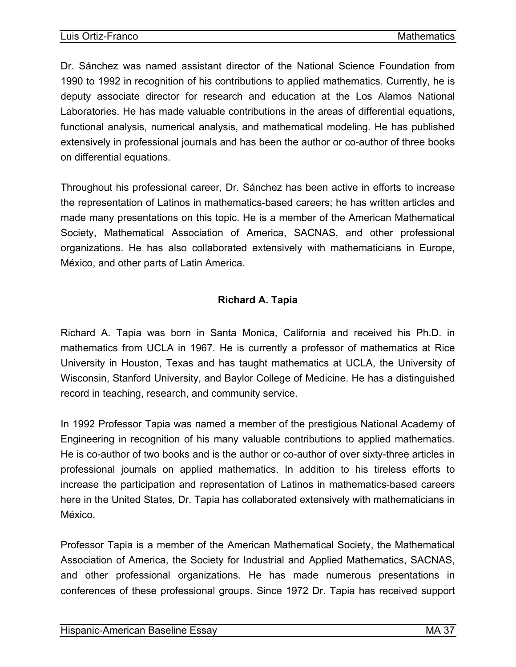<span id="page-38-0"></span>Dr. Sánchez was named assistant director of the National Science Foundation from 1990 to 1992 in recognition of his contributions to applied mathematics. Currently, he is deputy associate director for research and education at the Los Alamos National Laboratories. He has made valuable contributions in the areas of differential equations, functional analysis, numerical analysis, and mathematical modeling. He has published extensively in professional journals and has been the author or co-author of three books on differential equations.

Throughout his professional career, Dr. Sánchez has been active in efforts to increase the representation of Latinos in mathematics-based careers; he has written articles and made many presentations on this topic. He is a member of the American Mathematical Society, Mathematical Association of America, SACNAS, and other professional organizations. He has also collaborated extensively with mathematicians in Europe, México, and other parts of Latin America.

# **Richard A. Tapia**

Richard A. Tapia was born in Santa Monica, California and received his Ph.D. in mathematics from UCLA in 1967. He is currently a professor of mathematics at Rice University in Houston, Texas and has taught mathematics at UCLA, the University of Wisconsin, Stanford University, and Baylor College of Medicine. He has a distinguished record in teaching, research, and community service.

In 1992 Professor Tapia was named a member of the prestigious National Academy of Engineering in recognition of his many valuable contributions to applied mathematics. He is co-author of two books and is the author or co-author of over sixty-three articles in professional journals on applied mathematics. In addition to his tireless efforts to increase the participation and representation of Latinos in mathematics-based careers here in the United States, Dr. Tapia has collaborated extensively with mathematicians in México.

Professor Tapia is a member of the American Mathematical Society, the Mathematical Association of America, the Society for Industrial and Applied Mathematics, SACNAS, and other professional organizations. He has made numerous presentations in conferences of these professional groups. Since 1972 Dr. Tapia has received support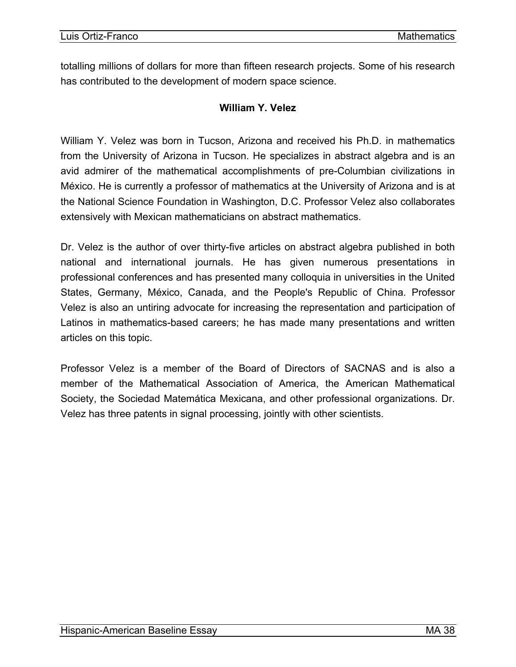<span id="page-39-0"></span>totalling millions of dollars for more than fifteen research projects. Some of his research has contributed to the development of modern space science.

#### **William Y. Velez**

William Y. Velez was born in Tucson, Arizona and received his Ph.D. in mathematics from the University of Arizona in Tucson. He specializes in abstract algebra and is an avid admirer of the mathematical accomplishments of pre-Columbian civilizations in México. He is currently a professor of mathematics at the University of Arizona and is at the National Science Foundation in Washington, D.C. Professor Velez also collaborates extensively with Mexican mathematicians on abstract mathematics.

Dr. Velez is the author of over thirty-five articles on abstract algebra published in both national and international journals. He has given numerous presentations in professional conferences and has presented many colloquia in universities in the United States, Germany, México, Canada, and the People's Republic of China. Professor Velez is also an untiring advocate for increasing the representation and participation of Latinos in mathematics-based careers; he has made many presentations and written articles on this topic.

Professor Velez is a member of the Board of Directors of SACNAS and is also a member of the Mathematical Association of America, the American Mathematical Society, the Sociedad Matemática Mexicana, and other professional organizations. Dr. Velez has three patents in signal processing, jointly with other scientists.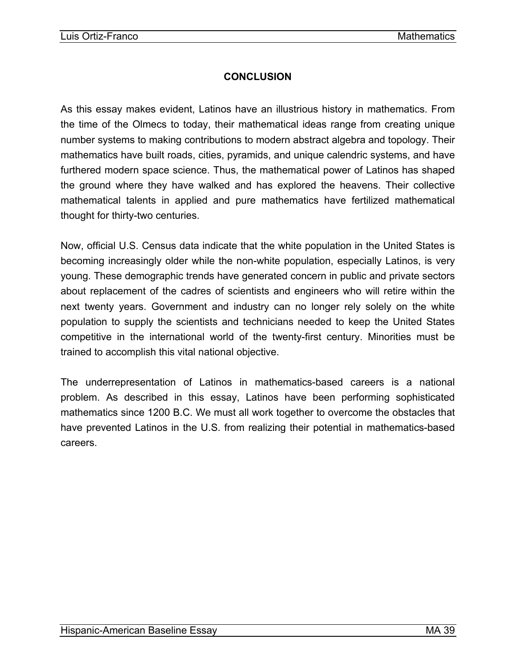# **CONCLUSION**

<span id="page-40-0"></span>As this essay makes evident, Latinos have an illustrious history in mathematics. From the time of the Olmecs to today, their mathematical ideas range from creating unique number systems to making contributions to modern abstract algebra and topology. Their mathematics have built roads, cities, pyramids, and unique calendric systems, and have furthered modern space science. Thus, the mathematical power of Latinos has shaped the ground where they have walked and has explored the heavens. Their collective mathematical talents in applied and pure mathematics have fertilized mathematical thought for thirty-two centuries.

Now, official U.S. Census data indicate that the white population in the United States is becoming increasingly older while the non-white population, especially Latinos, is very young. These demographic trends have generated concern in public and private sectors about replacement of the cadres of scientists and engineers who will retire within the next twenty years. Government and industry can no longer rely solely on the white population to supply the scientists and technicians needed to keep the United States competitive in the international world of the twenty-first century. Minorities must be trained to accomplish this vital national objective.

The underrepresentation of Latinos in mathematics-based careers is a national problem. As described in this essay, Latinos have been performing sophisticated mathematics since 1200 B.C. We must all work together to overcome the obstacles that have prevented Latinos in the U.S. from realizing their potential in mathematics-based careers.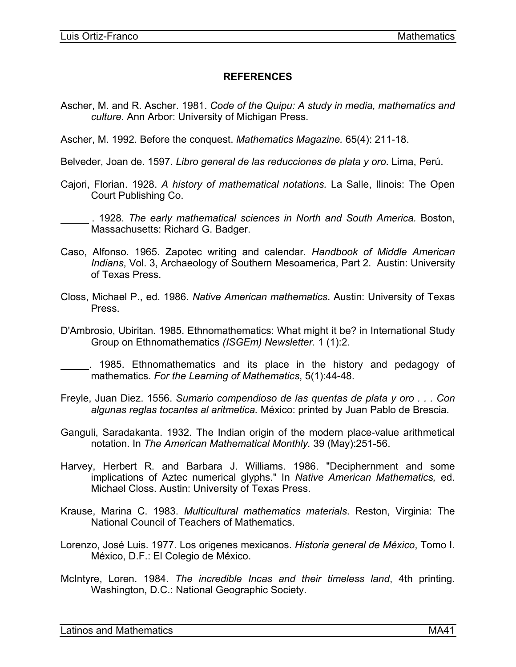#### **REFERENCES**

<span id="page-42-0"></span>Ascher, M. and R. Ascher. 1981. *Code of the Quipu: A study in media, mathematics and culture*. Ann Arbor: University of Michigan Press.

Ascher, M. 1992. Before the conquest. *Mathematics Magazine.* 65(4): 211-18.

Belveder, Joan de. 1597. *Libro general de las reducciones de plata y oro*. Lima, Perú.

Cajori, Florian. 1928. *A history of mathematical notations.* La Salle, Ilinois: The Open Court Publishing Co.

 . 1928. *The early mathematical sciences in North and South America.* Boston, Massachusetts: Richard G. Badger.

- Caso, Alfonso. 1965. Zapotec writing and calendar. *Handbook of Middle American Indians*, Vol. 3, Archaeology of Southern Mesoamerica, Part 2. Austin: University of Texas Press.
- Closs, Michael P., ed. 1986. *Native American mathematics*. Austin: University of Texas Press.
- D'Ambrosio, Ubiritan. 1985. Ethnomathematics: What might it be? in International Study Group on Ethnomathematics *(ISGEm) Newsletter.* 1 (1):2.

 . 1985. Ethnomathematics and its place in the history and pedagogy of mathematics. *For the Learning of Mathematics*, 5(1):44-48.

- Freyle, Juan Diez. 1556. *Sumario compendioso de las quentas de plata y oro . . . Con algunas reglas tocantes al aritmetica.* México: printed by Juan Pablo de Brescia.
- Ganguli, Saradakanta. 1932. The Indian origin of the modern place-value arithmetical notation. In *The American Mathematical Monthly.* 39 (May):251-56.
- Harvey, Herbert R. and Barbara J. Williams. 1986. "Deciphernment and some implications of Aztec numerical glyphs." In *Native American Mathematics,* ed. Michael Closs. Austin: University of Texas Press.
- Krause, Marina C. 1983. *Multicultural mathematics materials*. Reston, Virginia: The National Council of Teachers of Mathematics.
- Lorenzo, José Luis. 1977. Los origenes mexicanos. *Historia general de México*, Tomo I. México, D.F.: El Colegio de México.
- McIntyre, Loren. 1984. *The incredible Incas and their timeless land*, 4th printing. Washington, D.C.: National Geographic Society.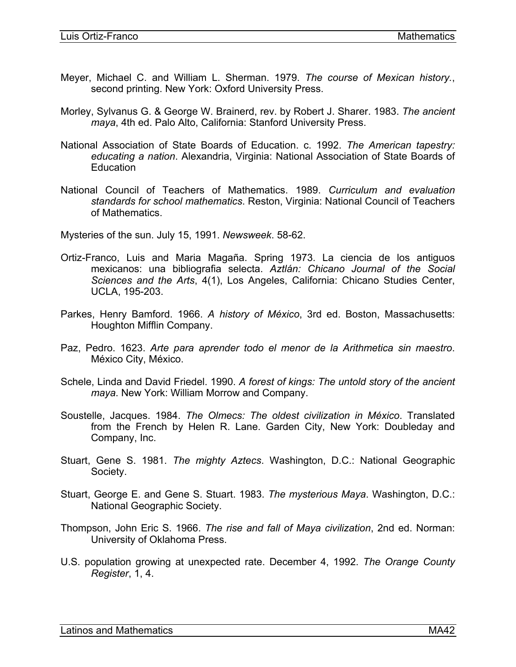- Meyer, Michael C. and William L. Sherman. 1979. *The course of Mexican history.*, second printing. New York: Oxford University Press.
- Morley, Sylvanus G. & George W. Brainerd, rev. by Robert J. Sharer. 1983. *The ancient maya*, 4th ed. Palo Alto, California: Stanford University Press.
- National Association of State Boards of Education. c. 1992. *The American tapestry: educating a nation*. Alexandria, Virginia: National Association of State Boards of **Education**
- National Council of Teachers of Mathematics. 1989. *Curriculum and evaluation standards for school mathematics*. Reston, Virginia: National Council of Teachers of Mathematics.

Mysteries of the sun. July 15, 1991. *Newsweek*. 58-62.

- Ortiz-Franco, Luis and Maria Magaña. Spring 1973. La ciencia de los antiguos mexicanos: una bibliografia selecta. *Aztlán: Chicano Journal of the Social Sciences and the Arts*, 4(1), Los Angeles, California: Chicano Studies Center, UCLA, 195-203.
- Parkes, Henry Bamford. 1966. *A history of México*, 3rd ed. Boston, Massachusetts: Houghton Mifflin Company.
- Paz, Pedro. 1623. *Arte para aprender todo el menor de la Arithmetica sin maestro*. México City, México.
- Schele, Linda and David Friedel. 1990. *A forest of kings: The untold story of the ancient maya*. New York: William Morrow and Company.
- Soustelle, Jacques. 1984. *The Olmecs: The oldest civilization in México*. Translated from the French by Helen R. Lane. Garden City, New York: Doubleday and Company, Inc.
- Stuart, Gene S. 1981. *The mighty Aztecs*. Washington, D.C.: National Geographic Society.
- Stuart, George E. and Gene S. Stuart. 1983. *The mysterious Maya*. Washington, D.C.: National Geographic Society.
- Thompson, John Eric S. 1966. *The rise and fall of Maya civilization*, 2nd ed. Norman: University of Oklahoma Press.
- U.S. population growing at unexpected rate. December 4, 1992. *The Orange County Register*, 1, 4.